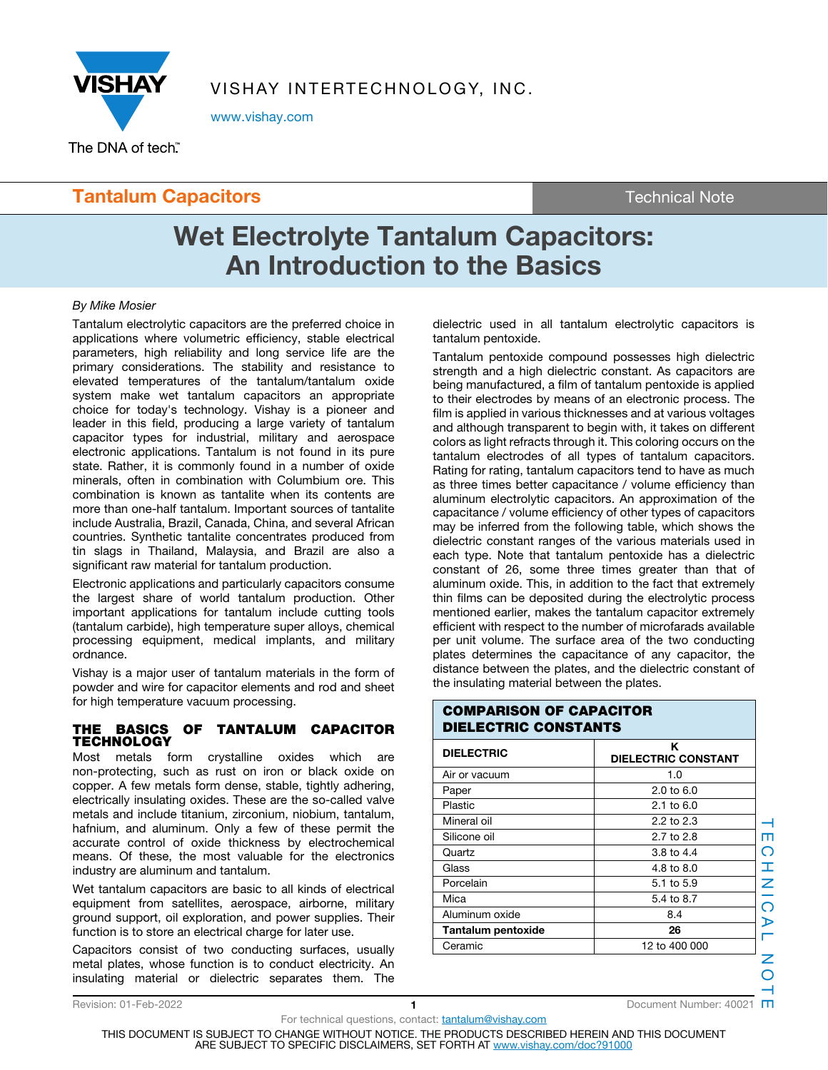

VISHAY INTERTECHNOLOGY, INC.

www.vishay.com

## **Tantalum Capacitors** Tantalum Capacitors and Technical Note

# **Wet Electrolyte Tantalum Capacitors: An Introduction to the Basics**

tantalum pentoxide.

### By Mike Mosier

Tantalum electrolytic capacitors are the preferred choice in applications where volumetric efficiency, stable electrical parameters, high reliability and long service life are the primary considerations. The stability and resistance to elevated temperatures of the tantalum/tantalum oxide system make wet tantalum capacitors an appropriate choice for today's technology. Vishay is a pioneer and leader in this field, producing a large variety of tantalum capacitor types for industrial, military and aerospace electronic applications. Tantalum is not found in its pure state. Rather, it is commonly found in a number of oxide minerals, often in combination with Columbium ore. This combination is known as tantalite when its contents are more than one-half tantalum. Important sources of tantalite include Australia, Brazil, Canada, China, and several African countries. Synthetic tantalite concentrates produced from tin slags in Thailand, Malaysia, and Brazil are also a significant raw material for tantalum production.

Electronic applications and particularly capacitors consume the largest share of world tantalum production. Other important applications for tantalum include cutting tools (tantalum carbide), high temperature super alloys, chemical processing equipment, medical implants, and military ordnance.

Vishay is a major user of tantalum materials in the form of powder and wire for capacitor elements and rod and sheet for high temperature vacuum processing.

### **THE BASICS OF TANTALUM CAPACITOR TECHNOLOGY**

Most metals form crystalline oxides which are non-protecting, such as rust on iron or black oxide on copper. A few metals form dense, stable, tightly adhering, electrically insulating oxides. These are the so-called valve metals and include titanium, zirconium, niobium, tantalum, hafnium, and aluminum. Only a few of these permit the accurate control of oxide thickness by electrochemical means. Of these, the most valuable for the electronics industry are aluminum and tantalum.

Wet tantalum capacitors are basic to all kinds of electrical equipment from satellites, aerospace, airborne, military ground support, oil exploration, and power supplies. Their function is to store an electrical charge for later use.

Capacitors consist of two conducting surfaces, usually metal plates, whose function is to conduct electricity. An insulating material or dielectric separates them. The

For technical questions, contact: **tantalum@vishay.com** 

TECHNICAL NOTE m CHNIC  $\frac{1}{\sqrt{2}}$ Z  $\overline{O}$ 

dielectric used in all tantalum electrolytic capacitors is

Tantalum pentoxide compound possesses high dielectric strength and a high dielectric constant. As capacitors are being manufactured, a film of tantalum pentoxide is applied to their electrodes by means of an electronic process. The film is applied in various thicknesses and at various voltages and although transparent to begin with, it takes on different colors as light refracts through it. This coloring occurs on the tantalum electrodes of all types of tantalum capacitors. Rating for rating, tantalum capacitors tend to have as much as three times better capacitance / volume efficiency than aluminum electrolytic capacitors. An approximation of the capacitance / volume efficiency of other types of capacitors may be inferred from the following table, which shows the dielectric constant ranges of the various materials used in each type. Note that tantalum pentoxide has a dielectric constant of 26, some three times greater than that of aluminum oxide. This, in addition to the fact that extremely thin films can be deposited during the electrolytic process mentioned earlier, makes the tantalum capacitor extremely efficient with respect to the number of microfarads available

| <b>DIELECTRIC</b>  | <b>DIELECTRIC CONSTANT</b> |  |
|--------------------|----------------------------|--|
| Air or vacuum      | 1.0                        |  |
| Paper              | $2.0 \text{ to } 6.0$      |  |
| Plastic            | 2.1 to $6.0$               |  |
| Mineral oil        | 2.2 to $2.3$               |  |
| Silicone oil       | 2.7 to 2.8                 |  |
| Quartz             | 3.8 to $4.4$               |  |
| Glass              | 4.8 to 8.0                 |  |
| Porcelain          | 5.1 to 5.9                 |  |
| Mica               | 5.4 to 8.7                 |  |
| Aluminum oxide     | 8.4                        |  |
| Tantalum pentoxide | 26                         |  |
| Ceramic            | 12 to 400 000              |  |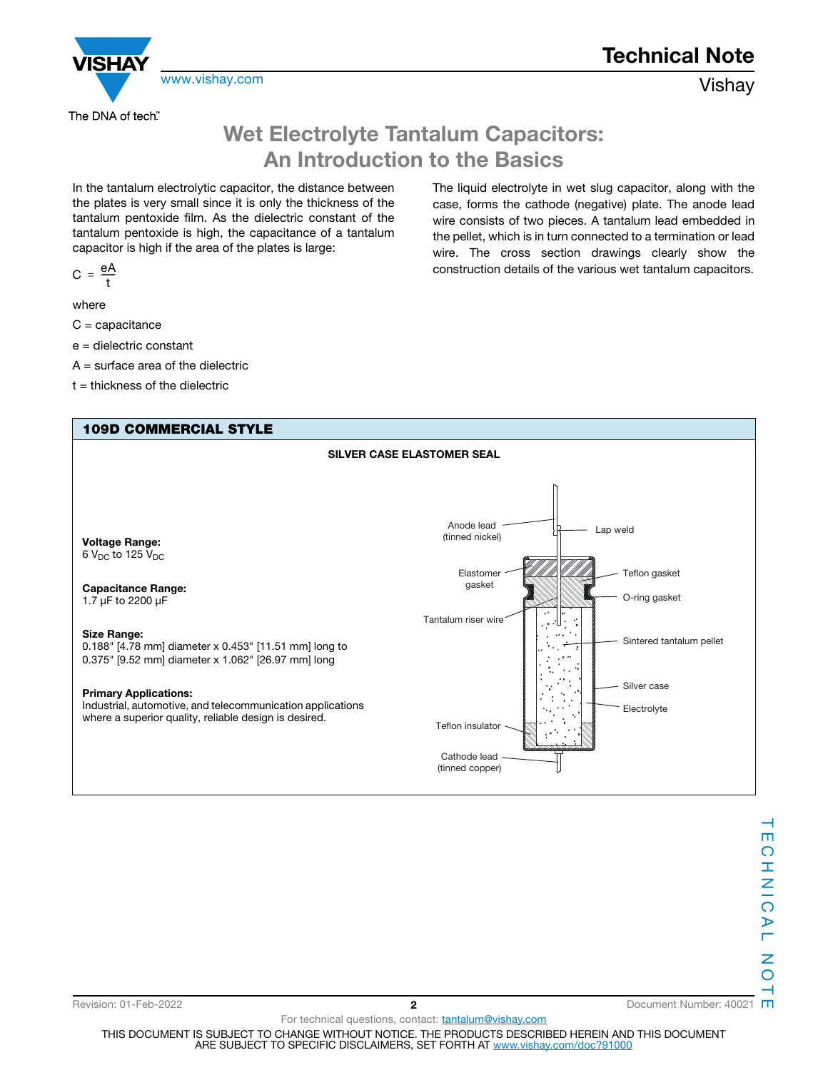

**Technical Note**

The liquid electrolyte in wet slug capacitor, along with the case, forms the cathode (negative) plate. The anode lead wire consists of two pieces. A tantalum lead embedded in the pellet, which is in turn connected to a termination or lead wire. The cross section drawings clearly show the construction details of the various wet tantalum capacitors.

# **Wet Electrolyte Tantalum Capacitors: An Introduction to the Basics**

In the tantalum electrolytic capacitor, the distance between the plates is very small since it is only the thickness of the tantalum pentoxide film. As the dielectric constant of the tantalum pentoxide is high, the capacitance of a tantalum capacitor is high if the area of the plates is large:

$$
C = \frac{eA}{t}
$$

where

 $C =$  capacitance

e = dielectric constant

 $A =$  surface area of the dielectric

 $t =$  thickness of the dielectric

### **109D COMMERCIAL STYLE**



Revision: 01-Feb-2022 **2** Document Number: 40021

For technical questions, contact: tantalum@vishay.com THIS DOCUMENT IS SUBJECT TO CHANGE WITHOUT NOTICE. THE PRODUCTS DESCRIBED HEREIN AND THIS DOCUMENT ARE SUBJECT TO SPECIFIC DISCLAIMERS, SET FORTH AT www.vishay.com/doc?91000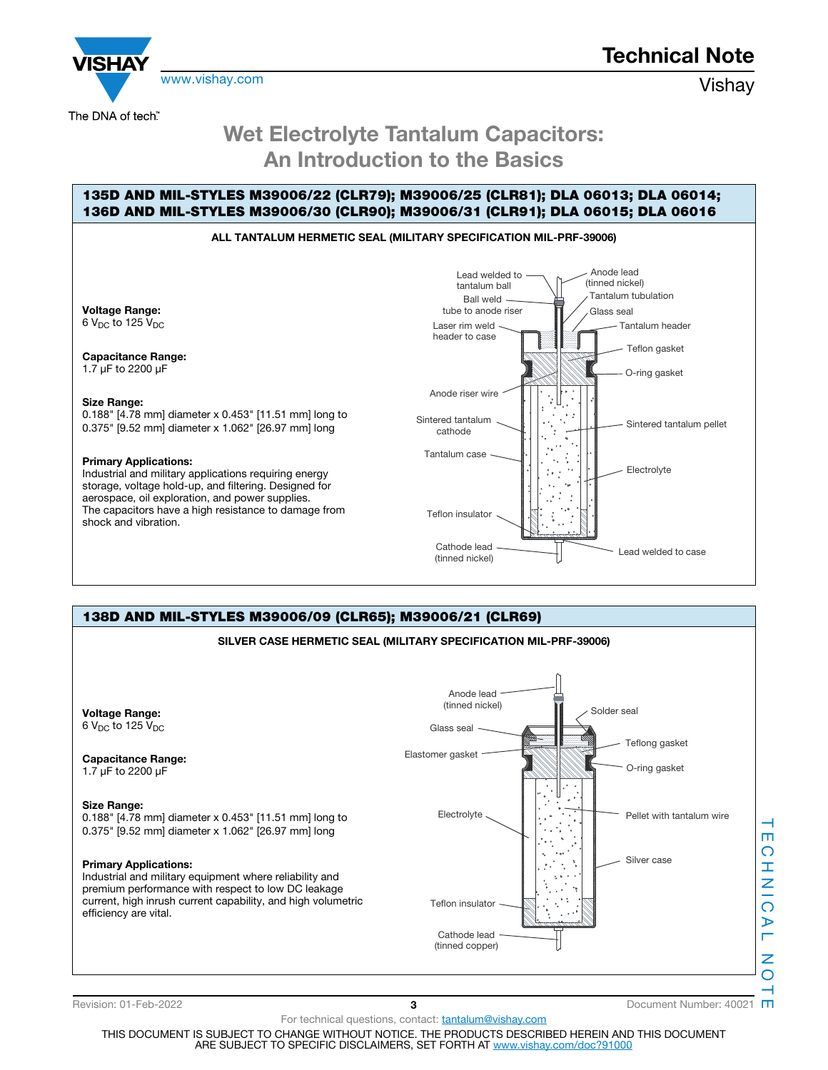



# **Wet Electrolyte Tantalum Capacitors: An Introduction to the Basics**

## **135D AND MIL-STYLES M39006/22 (CLR79); M39006/25 (CLR81); DLA 06013; DLA 06014; 136D AND MIL-STYLES M39006/30 (CLR90); M39006/31 (CLR91); DLA 06015; DLA 06016**

## **ALL TANTALUM HERMETIC SEAL (MILITARY SPECIFICATION MIL-PRF-39006)**

**Voltage Range:** 6  $V_{DC}$  to 125  $V_{DC}$ 

The DNA of tech"

**Capacitance Range:** 1.7 μF to 2200 μF

#### **Size Range:**

0.188" [4.78 mm] diameter x 0.453" [11.51 mm] long to 0.375" [9.52 mm] diameter x 1.062" [26.97 mm] long

#### **Primary Applications:**

Industrial and military applications requiring energy storage, voltage hold-up, and filtering. Designed for aerospace, oil exploration, and power supplies. The capacitors have a high resistance to damage from shock and vibration.



## **138D AND MIL-STYLES M39006/09 (CLR65); M39006/21 (CLR69) SILVER CASE HERMETIC SEAL (MILITARY SPECIFICATION MIL-PRF-39006)**



Revision: 01-Feb-2022 **3 3** Document Number: 40021 **m** 

For technical questions, contact: tantalum@vishay.com THIS DOCUMENT IS SUBJECT TO CHANGE WITHOUT NOTICE. THE PRODUCTS DESCRIBED HEREIN AND THIS DOCUMENT ARE SUBJECT TO SPECIFIC DISCLAIMERS, SET FORTH AT www.vishay.com/doc?91000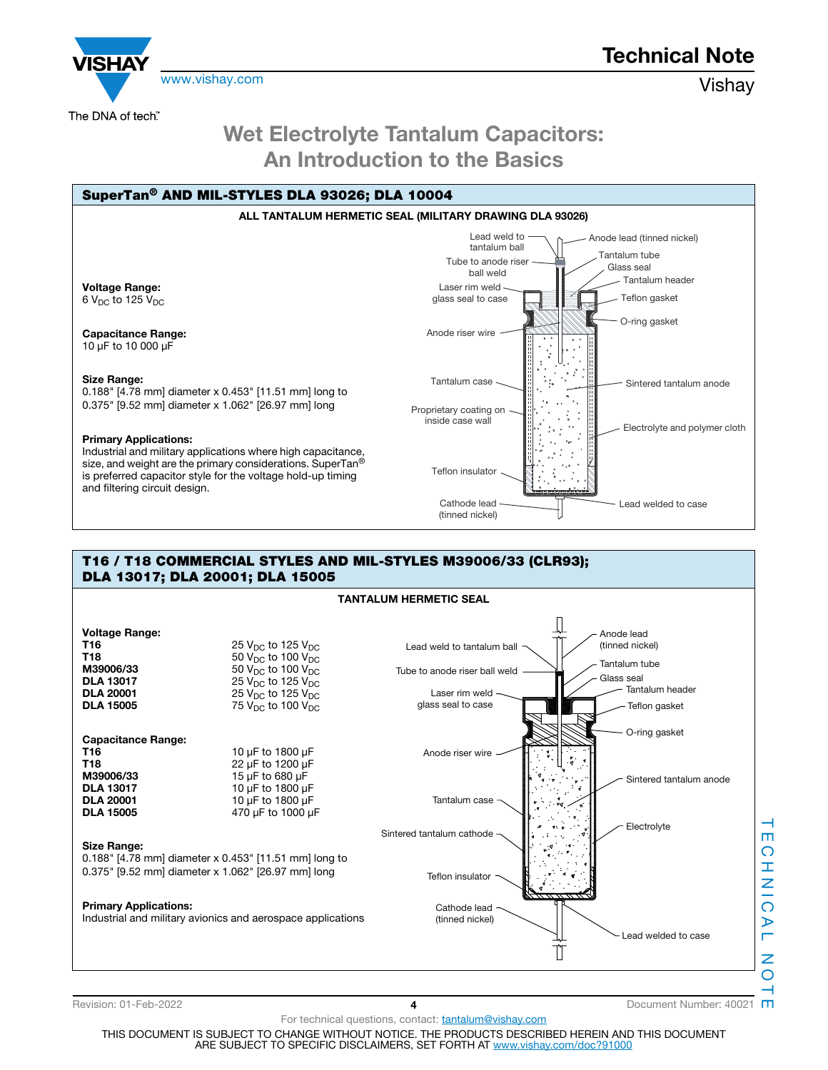

**Technical Note**

The DNA of tech"

# **Wet Electrolyte Tantalum Capacitors: An Introduction to the Basics**



### **T16 / T18 COMMERCIAL STYLES AND MIL-STYLES M39006/33 (CLR93); DLA 13017; DLA 20001; DLA 15005**



TECHNICAL NOTE m ဂ Ŧ. Z L.  $\overline{\Omega}$  $\triangleright$ Z  $\overline{O}$ 

For technical questions, contact: **tantalum@vishay.com** THIS DOCUMENT IS SUBJECT TO CHANGE WITHOUT NOTICE. THE PRODUCTS DESCRIBED HEREIN AND THIS DOCUMENT ARE SUBJECT TO SPECIFIC DISCLAIMERS, SET FORTH AT www.vishay.com/doc?91000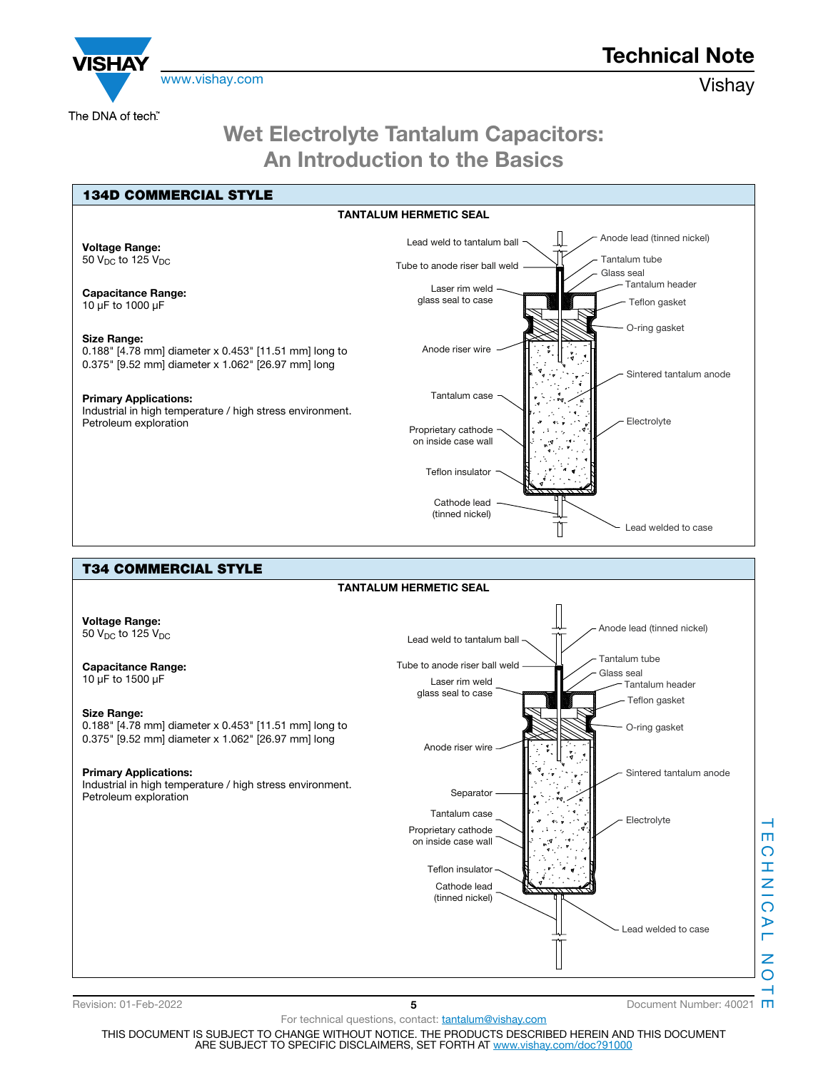

**Technical Note**

## **Wet Electrolyte Tantalum Capacitors: An Introduction to the Basics**



m

Revision: 01-Feb-2022 **5** Document Number: 40021